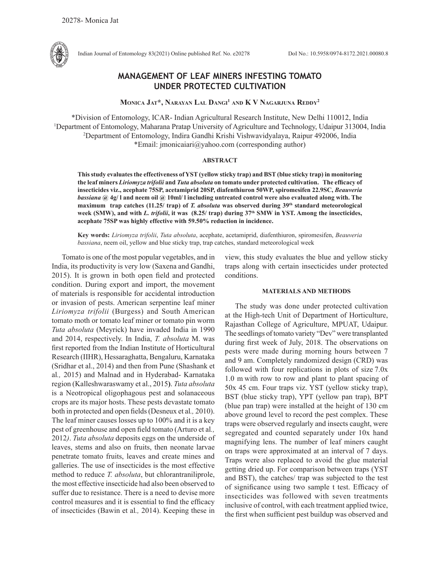

Indian Journal of Entomology 83(2021) Online published Ref. No. e20278 DoI No.: 10.5958/0974-8172.2021.00080.8

# **MANAGEMENT OF LEAF MINERS INFESTING TOMATO UNDER PROTECTED CULTIVATION**

**Monica Jat\*, Narayan Lal Dangi1 and K V Nagarjuna Reddy2**

\*Division of Entomology, ICAR- Indian Agricultural Research Institute, New Delhi 110012, India 1 Department of Entomology, Maharana Pratap University of Agriculture and Technology, Udaipur 313004, India 2 Department of Entomology, Indira Gandhi Krishi Vishwavidyalaya, Raipur 492006, India \*Email: jmonicaiari@yahoo.com (corresponding author)

#### **ABSTRACT**

**This study evaluates the effectiveness of YST (yellow sticky trap) and BST (blue sticky trap) in monitoring the leaf miners** *Liriomyza trifolii* **and** *Tuta absoluta* **on tomato under protected cultivation. The efficacy of insecticides viz., acephate 75SP, acetamiprid 20SP, diafenthiuron 50WP, spiromesifen 22.9SC,** *Beauveria bassiana* **@ 4g/ l and neem oil @ 10ml/ l including untreated control were also evaluated along with. The maximum trap catches (11.25/ trap) of** *T. absoluta* **was observed during 39th standard meteorological week (SMW), and with** *L. trifolii***, it was (8.25/ trap) during 37th SMW in YST. Among the insecticides, acephate 75SP was highly effective with 59.50% reduction in incidence.** 

**Key words:** *Liriomyza trifolii*, *Tuta absoluta*, acephate, acetamiprid, diafenthiuron, spiromesifen, *Beauveria bassiana*, neem oil, yellow and blue sticky trap, trap catches, standard meteorological week

Tomato is one of the most popular vegetables, and in India, its productivity is very low (Saxena and Gandhi, 2015). It is grown in both open field and protected condition. During export and import, the movement of materials is responsible for accidental introduction or invasion of pests. American serpentine leaf miner *Liriomyza trifolii* (Burgess) and South American tomato moth or tomato leaf miner or tomato pin worm *Tuta absoluta* (Meyrick) have invaded India in 1990 and 2014, respectively. In India, *T. absoluta* M. was first reported from the Indian Institute of Horticultural Research (IIHR), Hessaraghatta, Bengaluru, Karnataka (Sridhar et al., 2014) and then from Pune (Shashank et al*.,* 2015) and Malnad and in Hyderabad- Karnataka region (Kalleshwaraswamy et al., 2015**)**. *Tuta absoluta* is a Neotropical oligophagous pest and solanaceous crops are its major hosts. These pests devastate tomato both in protected and open fields (Desneux et al*.,* 2010). The leaf miner causes losses up to 100% and it is a key pest of greenhouse and open field tomato (Arturo et al*.,*  2012*)*. *Tuta absoluta* deposits eggs on the underside of leaves, stems and also on fruits, then neonate larvae penetrate tomato fruits, leaves and create mines and galleries. The use of insecticides is the most effective method to reduce *T. absoluta*, but chlorantraniliprole, the most effective insecticide had also been observed to suffer due to resistance. There is a need to devise more control measures and it is essential to find the efficacy of insecticides (Bawin et al*.,* 2014). Keeping these in view, this study evaluates the blue and yellow sticky traps along with certain insecticides under protected conditions.

## **MATERIALS AND METHODS**

The study was done under protected cultivation at the High-tech Unit of Department of Horticulture, Rajasthan College of Agriculture, MPUAT, Udaipur. The seedlings of tomato variety "Dev" were transplanted during first week of July, 2018. The observations on pests were made during morning hours between 7 and 9 am. Completely randomized design (CRD) was followed with four replications in plots of size 7.0x 1.0 m with row to row and plant to plant spacing of 50x 45 cm. Four traps viz. YST (yellow sticky trap), BST (blue sticky trap), YPT (yellow pan trap), BPT (blue pan trap) were installed at the height of 130 cm above ground level to record the pest complex. These traps were observed regularly and insects caught, were segregated and counted separately under 10x hand magnifying lens. The number of leaf miners caught on traps were approximated at an interval of 7 days. Traps were also replaced to avoid the glue material getting dried up. For comparison between traps (YST and BST), the catches/ trap was subjected to the test of significance using two sample t test. Efficacy of insecticides was followed with seven treatments inclusive of control, with each treatment applied twice, the first when sufficient pest buildup was observed and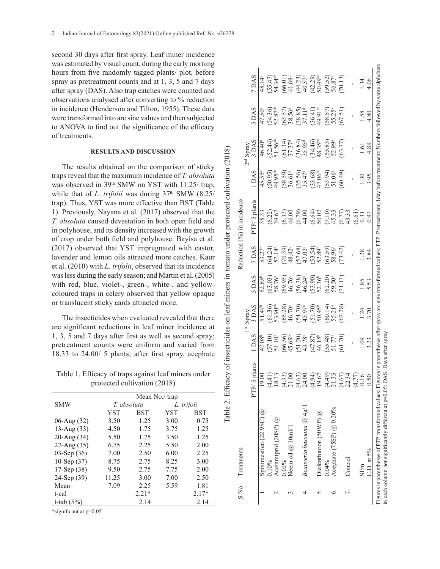second 30 days after first spray. Leaf miner incidence was estimated by visual count, during the early morning hours from five randomly tagged plants/ plot, before spray as pretreatment counts and at 1, 3, 5 and 7 days after spray (DAS). Also trap catches were counted and observations analysed after converting to % reduction in incidence (Henderson and Tilton, 1955). These data were transformed into arc sine values and then subjected to ANOVA to find out the significance of the efficacy of treatments.

#### **RESULTS AND DISCUSSION**

The results obtained on the comparison of sticky traps reveal that the maximum incidence of *T. absoluta*  was observed in 39<sup>th</sup> SMW on YST with 11.25/ trap, while that of *L. trifolii* was during 37<sup>th</sup> SMW (8.25/ trap). Thus, YST was more effective than BST (Table 1). Previously, Nayana et al*.* (2017) observed that the *T. absoluta* caused devastation in both open field and in polyhouse, and its density increased with the growth of crop under both field and polyhouse. Bayisa et al. (2017) observed that YST impregnated with castor, lavender and lemon oils attracted more catches. Kaur et al. (2010) with *L. trifolii*, observed that its incidence was less during the early season; and Martin et al. (2005) with red, blue, violet-, green-, white-, and yellowcoloured traps in celery observed that yellow opaque or translucent sticky cards attracted more.

The insecticides when evaluated revealed that there are significant reductions in leaf miner incidence at 1, 3, 5 and 7 days after first as well as second spray; pretreatment counts were uniform and varied from 18.33 to 24.00/ 5 plants; after first spray, acephate

Table 1. Efficacy of traps against leaf miners under protected cultivation (2018)

|               |             | Mean No./ trap |            |         |
|---------------|-------------|----------------|------------|---------|
| <b>SMW</b>    | T. absoluta |                | L. trifoli |         |
|               | YST         | BST            | YST        | BST     |
| 06-Aug (32)   | 3.50        | 1.25           | 3.00       | 0.75    |
| 13-Aug $(33)$ | 4.50        | 1.75           | 3.75       | 1.25    |
| 20-Aug (34)   | 5.50        | 1.75           | 3.50       | 1.25    |
| 27-Aug (35)   | 6.75        | 2.25           | 5.50       | 2.00    |
| 03-Sep $(36)$ | 7.00        | 2.50           | 6.00       | 2.25    |
| 10-Sep $(37)$ | 8.75        | 2.75           | 8.25       | 3.00    |
| 17-Sep $(38)$ | 9.50        | 2.75           | 7.75       | 2.00    |
| 24-Sep (39)   | 11.25       | 3.00           | 7.00       | 2.50    |
| Mean          | 7.09        | 2.25           | 5.59       | 1.81    |
| t-cal         | $2.21*$     |                |            | $2.17*$ |
| t-tab $(5%)$  | 2.14        |                |            | 2.14    |

\*significant at p=0.05

| S.No. Treatments                                                                                                          |                       |                                  |                                                                                                                                  |                                                                                                                                                                                                                                                                                                           |                                                                             | Reduction (%) in incidence                                                                                                           |                                                             |                                                                                                                                               |                                                                                                                                                                                                                                                                                                  |                                                                                                                                                                                              |
|---------------------------------------------------------------------------------------------------------------------------|-----------------------|----------------------------------|----------------------------------------------------------------------------------------------------------------------------------|-----------------------------------------------------------------------------------------------------------------------------------------------------------------------------------------------------------------------------------------------------------------------------------------------------------|-----------------------------------------------------------------------------|--------------------------------------------------------------------------------------------------------------------------------------|-------------------------------------------------------------|-----------------------------------------------------------------------------------------------------------------------------------------------|--------------------------------------------------------------------------------------------------------------------------------------------------------------------------------------------------------------------------------------------------------------------------------------------------|----------------------------------------------------------------------------------------------------------------------------------------------------------------------------------------------|
|                                                                                                                           |                       |                                  |                                                                                                                                  |                                                                                                                                                                                                                                                                                                           |                                                                             |                                                                                                                                      |                                                             | Pud<br>O                                                                                                                                      |                                                                                                                                                                                                                                                                                                  |                                                                                                                                                                                              |
|                                                                                                                           | 5 plants<br>PTP/      | 1DAS                             | spray<br>3 DAS                                                                                                                   | DAS                                                                                                                                                                                                                                                                                                       | 7 DAS                                                                       | PTP/5 plants                                                                                                                         | 1 DAS                                                       | ' Spray<br>3 DAS                                                                                                                              | <b>SVC</b> :                                                                                                                                                                                                                                                                                     | 7 DAS                                                                                                                                                                                        |
| Spiromesifen $(22.9SC)$ $@$                                                                                               | $\mathcal{S}$         | 47.08 <sup>b</sup>               | $\frac{1}{21.47^b}$                                                                                                              | $52.65^b$                                                                                                                                                                                                                                                                                                 | $53.27^b$                                                                   | 38.33                                                                                                                                |                                                             | $\frac{46.40^{\circ}}{20}$                                                                                                                    | $47.50^{\circ}$                                                                                                                                                                                                                                                                                  | 48.14°                                                                                                                                                                                       |
| 0.10%                                                                                                                     |                       |                                  |                                                                                                                                  |                                                                                                                                                                                                                                                                                                           |                                                                             |                                                                                                                                      |                                                             |                                                                                                                                               |                                                                                                                                                                                                                                                                                                  |                                                                                                                                                                                              |
| Acetamiprid (20SP) $@$                                                                                                    | $\pm$ $\omega$        | $\binom{57.10}{51.10^a}$         |                                                                                                                                  |                                                                                                                                                                                                                                                                                                           |                                                                             | 6.22)<br>39.67                                                                                                                       | 45.55°<br>(50.95)<br>49.95 <sup>ab</sup>                    |                                                                                                                                               |                                                                                                                                                                                                                                                                                                  |                                                                                                                                                                                              |
| 0.02%                                                                                                                     | 33.00                 |                                  | $(61.36)$<br>$53.90$ <sup>ab</sup><br>$53.28$<br>$46.70$<br>$45.97$ <sup>c</sup><br>$45.97$ c<br>$51.70$<br>$50.45$ <sup>6</sup> | $\begin{array}{l} (63.03)\\ 58.76^\circ\\ 88.76^\circ\\ (9.95)\\ 46.38)\\ (56.38)\\ 46.24^\circ\\ (73.30)\\ (82.20)\\ (9.50)\\ (9.5)\\ (10.5)\\ (11.5)\\ (12.5)\\ (13.5)\\ (14.5)\\ (15.5)\\ (16.5)\\ (17.5)\\ (18.5)\\ (19.5)\\ (19.5)\\ (19.5)\\ (19.5)\\ (19.5)\\ (19.5)\\ (19.5)\\ (19.5)\\ (19.5)\\$ | (64.24)<br>57.14ª<br>57.139)<br>57.68)<br>47.03.39<br>47.03.39<br>68.38.96ª | $(6.33)$<br>$(6.79)$<br>$(6.79)$<br>$(6.61)$<br>$(6.61)$<br>$(6.73)$<br>$(6.73)$<br>$(7.73)$<br>$(7.73)$                             | $(58.59)$<br>$36.61d$<br>$(35.56)$<br>$35.47d$<br>$(33.68)$ | $(52.44)$<br>51.56 <sup>ab</sup><br>51.57 <sup>3</sup><br>51.37 <sup>3</sup><br>53.95 <sup>4</sup><br>53.359 <sup>9</sup><br>53.77)<br>53.77) | $\begin{array}{l} (54.36)\\ 52.87^{\text{sb}}\\ (53.57)\\ (53.57)\\ (53.59)\\ (38.85)\\ (30.41)\\ (36.41)\\ (50.57)\\ (57.51)\\ (57.51)\\ (57.51)\\ (57.51)\\ (57.51)\\ (57.52)\\ (59.53)\\ (59.54)\\ (59.54)\\ (59.55)\\ (59.55)\\ (59.56)\\ (59.56)\\ (59.57)\\ (59.57)\\ (59.58)\\ (59.59)\\$ | $(55.47)$<br>$54.34$ <sup>4</sup><br>$(66.01)$<br>$(66.01)$<br>$(66.01)$<br>$41.57$<br>$40.57$<br>$50.49$<br>$50.52$<br>$50.87$ <sup>4</sup><br>$50.87$ <sup>4</sup><br>$50.87$ <sup>4</sup> |
| Neem oil $@$ 10ml/1                                                                                                       |                       | $(66.56)$<br>45.69 <sup>bc</sup> |                                                                                                                                  |                                                                                                                                                                                                                                                                                                           |                                                                             |                                                                                                                                      |                                                             |                                                                                                                                               |                                                                                                                                                                                                                                                                                                  |                                                                                                                                                                                              |
|                                                                                                                           |                       |                                  |                                                                                                                                  |                                                                                                                                                                                                                                                                                                           |                                                                             |                                                                                                                                      |                                                             |                                                                                                                                               |                                                                                                                                                                                                                                                                                                  |                                                                                                                                                                                              |
| Beauveria bassiana @ 4g/ 1                                                                                                | $\frac{4.63}{24.00}$  | $(51.20)$<br>43.78°              |                                                                                                                                  |                                                                                                                                                                                                                                                                                                           |                                                                             |                                                                                                                                      |                                                             |                                                                                                                                               |                                                                                                                                                                                                                                                                                                  |                                                                                                                                                                                              |
|                                                                                                                           |                       | $(47.87)$<br>46.15 <sup>b</sup>  |                                                                                                                                  |                                                                                                                                                                                                                                                                                                           |                                                                             |                                                                                                                                      |                                                             |                                                                                                                                               |                                                                                                                                                                                                                                                                                                  |                                                                                                                                                                                              |
| Diafenthiuron (50WP) @                                                                                                    | 1.94)<br>9.67         |                                  |                                                                                                                                  |                                                                                                                                                                                                                                                                                                           |                                                                             |                                                                                                                                      |                                                             |                                                                                                                                               |                                                                                                                                                                                                                                                                                                  |                                                                                                                                                                                              |
| $0.04\%$                                                                                                                  |                       |                                  |                                                                                                                                  |                                                                                                                                                                                                                                                                                                           |                                                                             |                                                                                                                                      |                                                             |                                                                                                                                               |                                                                                                                                                                                                                                                                                                  |                                                                                                                                                                                              |
| Acephate (75SP) $@$ 0.20%                                                                                                 | ಕ್ರಿ ಬ್ರ              | $55.48$<br>51.77 <sup>a</sup>    | $\frac{60.14}{55.21^a}$<br>$67.28$                                                                                               |                                                                                                                                                                                                                                                                                                           |                                                                             |                                                                                                                                      | 53.94)<br>51.06 <sup>a</sup>                                |                                                                                                                                               |                                                                                                                                                                                                                                                                                                  |                                                                                                                                                                                              |
|                                                                                                                           | 4                     | (61.70)                          |                                                                                                                                  | 71.13                                                                                                                                                                                                                                                                                                     | 73.42                                                                       |                                                                                                                                      | 60.49)                                                      |                                                                                                                                               |                                                                                                                                                                                                                                                                                                  |                                                                                                                                                                                              |
| Control                                                                                                                   | ટ્રિઝ<br>S            |                                  |                                                                                                                                  |                                                                                                                                                                                                                                                                                                           |                                                                             |                                                                                                                                      |                                                             |                                                                                                                                               |                                                                                                                                                                                                                                                                                                  |                                                                                                                                                                                              |
|                                                                                                                           | 4                     |                                  |                                                                                                                                  |                                                                                                                                                                                                                                                                                                           |                                                                             |                                                                                                                                      |                                                             |                                                                                                                                               |                                                                                                                                                                                                                                                                                                  |                                                                                                                                                                                              |
| SEm                                                                                                                       |                       |                                  |                                                                                                                                  | .85                                                                                                                                                                                                                                                                                                       | $\frac{28}{1}$                                                              | $\frac{61}{0.31}$                                                                                                                    |                                                             | ত্                                                                                                                                            | .58                                                                                                                                                                                                                                                                                              |                                                                                                                                                                                              |
| $CD.$ at $5\%$                                                                                                            |                       | 3.23                             | 1.24<br>3.70                                                                                                                     | 5.53                                                                                                                                                                                                                                                                                                      | 3.84                                                                        | 93                                                                                                                                   | \$95                                                        | 4.89                                                                                                                                          | 4.80                                                                                                                                                                                                                                                                                             |                                                                                                                                                                                              |
| Figures in parentheses of PTP transformed values; Figures i<br>in each column not significantly different at $p=0.05$ ; I | DAS: Days after spray |                                  |                                                                                                                                  |                                                                                                                                                                                                                                                                                                           |                                                                             | in parentheses after spray arc sine transformed values; PTP: Pretreatment, 1day before treatment; Numbers followed by same alphabets |                                                             |                                                                                                                                               |                                                                                                                                                                                                                                                                                                  |                                                                                                                                                                                              |
|                                                                                                                           |                       |                                  |                                                                                                                                  |                                                                                                                                                                                                                                                                                                           |                                                                             |                                                                                                                                      |                                                             |                                                                                                                                               |                                                                                                                                                                                                                                                                                                  |                                                                                                                                                                                              |

Table 2. Efficacy of insecticides on leaf miners in tomato under protected cultivation (2018) Table 2. Efficacy of insecticides on leaf miners in tomato under protected cultivation (2018)